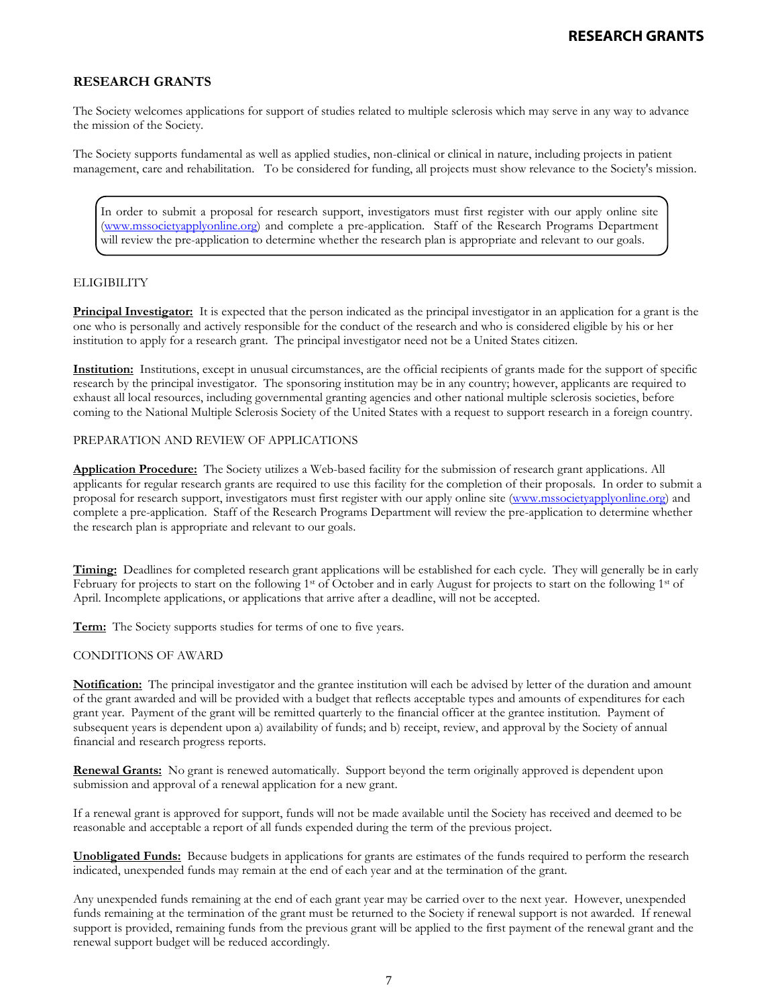# **RESEARCH GRANTS**

The Society welcomes applications for support of studies related to multiple sclerosis which may serve in any way to advance the mission of the Society.

The Society supports fundamental as well as applied studies, non-clinical or clinical in nature, including projects in patient management, care and rehabilitation. To be considered for funding, all projects must show relevance to the Society's mission.

In order to submit a proposal for research support, investigators must first register with our apply online site [\(www.mssocietyapplyonline.org\)](http://www.mssocietyapplyonline.org/) and complete a pre-application. Staff of the Research Programs Department will review the pre-application to determine whether the research plan is appropriate and relevant to our goals.

## **ELIGIBILITY**

**Principal Investigator:** It is expected that the person indicated as the principal investigator in an application for a grant is the one who is personally and actively responsible for the conduct of the research and who is considered eligible by his or her institution to apply for a research grant. The principal investigator need not be a United States citizen.

**Institution:** Institutions, except in unusual circumstances, are the official recipients of grants made for the support of specific research by the principal investigator. The sponsoring institution may be in any country; however, applicants are required to exhaust all local resources, including governmental granting agencies and other national multiple sclerosis societies, before coming to the National Multiple Sclerosis Society of the United States with a request to support research in a foreign country.

#### PREPARATION AND REVIEW OF APPLICATIONS

**Application Procedure:** The Society utilizes a Web-based facility for the submission of research grant applications. All applicants for regular research grants are required to use this facility for the completion of their proposals. In order to submit a proposal for research support, investigators must first register with our apply online site [\(www.mssocietyapplyonline.org\)](http://www.mssocietyapplyonline.org/) and complete a pre-application. Staff of the Research Programs Department will review the pre-application to determine whether the research plan is appropriate and relevant to our goals.

**Timing:** Deadlines for completed research grant applications will be established for each cycle. They will generally be in early February for projects to start on the following 1<sup>st</sup> of October and in early August for projects to start on the following 1<sup>st</sup> of April. Incomplete applications, or applications that arrive after a deadline, will not be accepted.

**Term:** The Society supports studies for terms of one to five years.

#### CONDITIONS OF AWARD

**Notification:** The principal investigator and the grantee institution will each be advised by letter of the duration and amount of the grant awarded and will be provided with a budget that reflects acceptable types and amounts of expenditures for each grant year. Payment of the grant will be remitted quarterly to the financial officer at the grantee institution. Payment of subsequent years is dependent upon a) availability of funds; and b) receipt, review, and approval by the Society of annual financial and research progress reports.

**Renewal Grants:** No grant is renewed automatically. Support beyond the term originally approved is dependent upon submission and approval of a renewal application for a new grant.

If a renewal grant is approved for support, funds will not be made available until the Society has received and deemed to be reasonable and acceptable a report of all funds expended during the term of the previous project.

**Unobligated Funds:** Because budgets in applications for grants are estimates of the funds required to perform the research indicated, unexpended funds may remain at the end of each year and at the termination of the grant.

Any unexpended funds remaining at the end of each grant year may be carried over to the next year. However, unexpended funds remaining at the termination of the grant must be returned to the Society if renewal support is not awarded. If renewal support is provided, remaining funds from the previous grant will be applied to the first payment of the renewal grant and the renewal support budget will be reduced accordingly.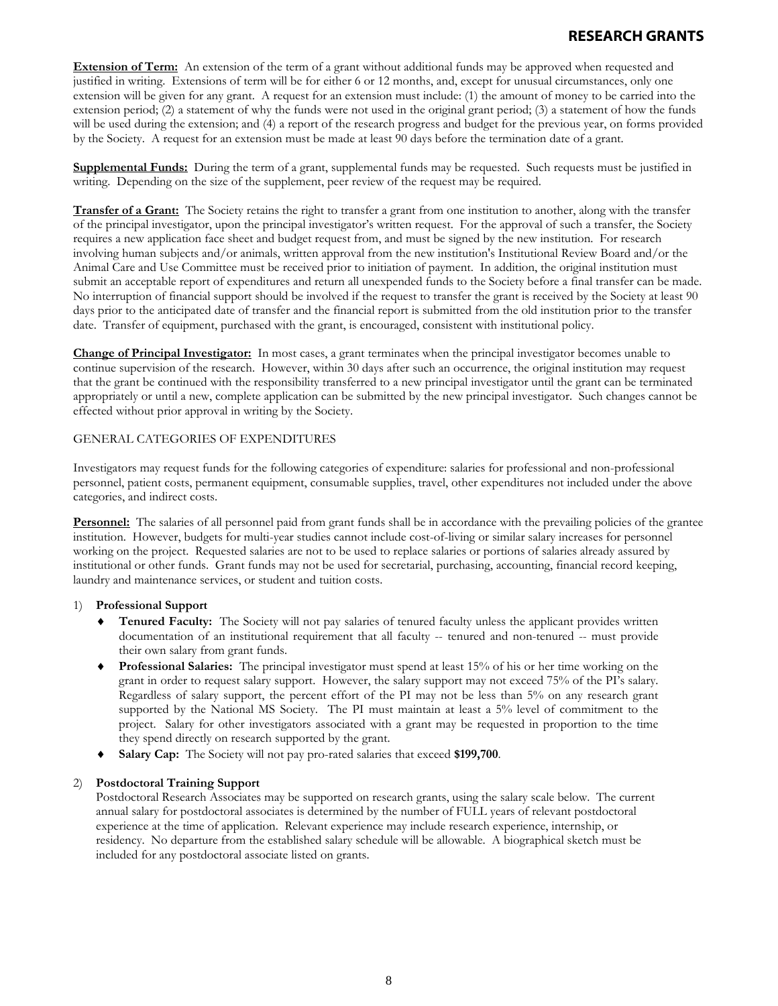# RESEARCH GRANTS

**Extension of Term:** An extension of the term of a grant without additional funds may be approved when requested and justified in writing. Extensions of term will be for either 6 or 12 months, and, except for unusual circumstances, only one extension will be given for any grant. A request for an extension must include: (1) the amount of money to be carried into the extension period; (2) a statement of why the funds were not used in the original grant period; (3) a statement of how the funds will be used during the extension; and (4) a report of the research progress and budget for the previous year, on forms provided by the Society. A request for an extension must be made at least 90 days before the termination date of a grant.

**Supplemental Funds:** During the term of a grant, supplemental funds may be requested. Such requests must be justified in writing. Depending on the size of the supplement, peer review of the request may be required.

**Transfer of a Grant:** The Society retains the right to transfer a grant from one institution to another, along with the transfer of the principal investigator, upon the principal investigator's written request. For the approval of such a transfer, the Society requires a new application face sheet and budget request from, and must be signed by the new institution. For research involving human subjects and/or animals, written approval from the new institution's Institutional Review Board and/or the Animal Care and Use Committee must be received prior to initiation of payment. In addition, the original institution must submit an acceptable report of expenditures and return all unexpended funds to the Society before a final transfer can be made. No interruption of financial support should be involved if the request to transfer the grant is received by the Society at least 90 days prior to the anticipated date of transfer and the financial report is submitted from the old institution prior to the transfer date. Transfer of equipment, purchased with the grant, is encouraged, consistent with institutional policy.

**Change of Principal Investigator:** In most cases, a grant terminates when the principal investigator becomes unable to continue supervision of the research. However, within 30 days after such an occurrence, the original institution may request that the grant be continued with the responsibility transferred to a new principal investigator until the grant can be terminated appropriately or until a new, complete application can be submitted by the new principal investigator. Such changes cannot be effected without prior approval in writing by the Society.

## GENERAL CATEGORIES OF EXPENDITURES

Investigators may request funds for the following categories of expenditure: salaries for professional and non-professional personnel, patient costs, permanent equipment, consumable supplies, travel, other expenditures not included under the above categories, and indirect costs.

**Personnel:** The salaries of all personnel paid from grant funds shall be in accordance with the prevailing policies of the grantee institution. However, budgets for multi-year studies cannot include cost-of-living or similar salary increases for personnel working on the project. Requested salaries are not to be used to replace salaries or portions of salaries already assured by institutional or other funds. Grant funds may not be used for secretarial, purchasing, accounting, financial record keeping, laundry and maintenance services, or student and tuition costs.

# 1) **Professional Support**

- ♦ **Tenured Faculty:** The Society will not pay salaries of tenured faculty unless the applicant provides written documentation of an institutional requirement that all faculty -- tenured and non-tenured -- must provide their own salary from grant funds.
- ♦ **Professional Salaries:** The principal investigator must spend at least 15% of his or her time working on the grant in order to request salary support. However, the salary support may not exceed 75% of the PI's salary. Regardless of salary support, the percent effort of the PI may not be less than 5% on any research grant supported by the National MS Society. The PI must maintain at least a 5% level of commitment to the project. Salary for other investigators associated with a grant may be requested in proportion to the time they spend directly on research supported by the grant.
- ♦ **Salary Cap:** The Society will not pay pro-rated salaries that exceed **\$199,700**.

# 2) **Postdoctoral Training Support**

Postdoctoral Research Associates may be supported on research grants, using the salary scale below. The current annual salary for postdoctoral associates is determined by the number of FULL years of relevant postdoctoral experience at the time of application. Relevant experience may include research experience, internship, or residency. No departure from the established salary schedule will be allowable. A biographical sketch must be included for any postdoctoral associate listed on grants.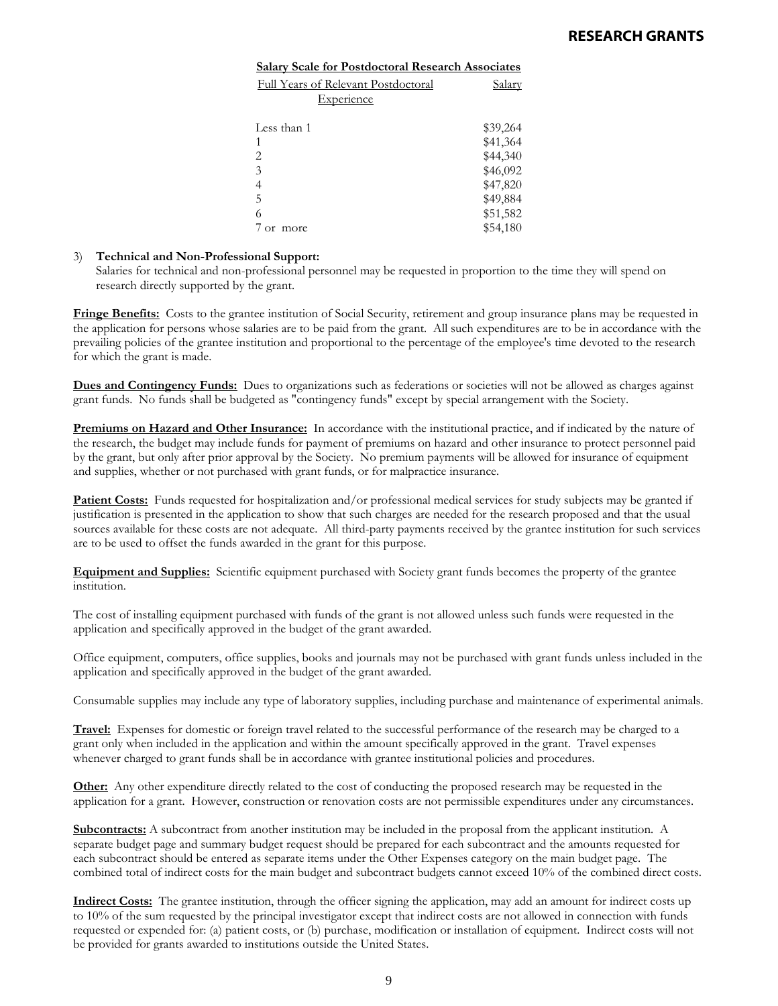| <b>Salary Scale for Postdoctoral Research Associates</b> |          |
|----------------------------------------------------------|----------|
| Full Years of Relevant Postdoctoral                      | Salarv   |
| Experience                                               |          |
|                                                          |          |
| Less than 1                                              | \$39,264 |
| 1                                                        | \$41,364 |
| 2                                                        | \$44,340 |
| 3                                                        | \$46,092 |
|                                                          | \$47,820 |
| 5                                                        | \$49,884 |
| 6                                                        | \$51,582 |
| or more                                                  | \$54,180 |

# 3) **Technical and Non-Professional Support:**

Salaries for technical and non-professional personnel may be requested in proportion to the time they will spend on research directly supported by the grant.

**Fringe Benefits:** Costs to the grantee institution of Social Security, retirement and group insurance plans may be requested in the application for persons whose salaries are to be paid from the grant. All such expenditures are to be in accordance with the prevailing policies of the grantee institution and proportional to the percentage of the employee's time devoted to the research for which the grant is made.

**Dues and Contingency Funds:** Dues to organizations such as federations or societies will not be allowed as charges against grant funds. No funds shall be budgeted as "contingency funds" except by special arrangement with the Society.

**Premiums on Hazard and Other Insurance:** In accordance with the institutional practice, and if indicated by the nature of the research, the budget may include funds for payment of premiums on hazard and other insurance to protect personnel paid by the grant, but only after prior approval by the Society. No premium payments will be allowed for insurance of equipment and supplies, whether or not purchased with grant funds, or for malpractice insurance.

**Patient Costs:** Funds requested for hospitalization and/or professional medical services for study subjects may be granted if justification is presented in the application to show that such charges are needed for the research proposed and that the usual sources available for these costs are not adequate. All third-party payments received by the grantee institution for such services are to be used to offset the funds awarded in the grant for this purpose.

**Equipment and Supplies:** Scientific equipment purchased with Society grant funds becomes the property of the grantee institution.

The cost of installing equipment purchased with funds of the grant is not allowed unless such funds were requested in the application and specifically approved in the budget of the grant awarded.

Office equipment, computers, office supplies, books and journals may not be purchased with grant funds unless included in the application and specifically approved in the budget of the grant awarded.

Consumable supplies may include any type of laboratory supplies, including purchase and maintenance of experimental animals.

**Travel:** Expenses for domestic or foreign travel related to the successful performance of the research may be charged to a grant only when included in the application and within the amount specifically approved in the grant. Travel expenses whenever charged to grant funds shall be in accordance with grantee institutional policies and procedures.

**Other:** Any other expenditure directly related to the cost of conducting the proposed research may be requested in the application for a grant. However, construction or renovation costs are not permissible expenditures under any circumstances.

**Subcontracts:** A subcontract from another institution may be included in the proposal from the applicant institution. A separate budget page and summary budget request should be prepared for each subcontract and the amounts requested for each subcontract should be entered as separate items under the Other Expenses category on the main budget page. The combined total of indirect costs for the main budget and subcontract budgets cannot exceed 10% of the combined direct costs.

**Indirect Costs:** The grantee institution, through the officer signing the application, may add an amount for indirect costs up to 10% of the sum requested by the principal investigator except that indirect costs are not allowed in connection with funds requested or expended for: (a) patient costs, or (b) purchase, modification or installation of equipment. Indirect costs will not be provided for grants awarded to institutions outside the United States.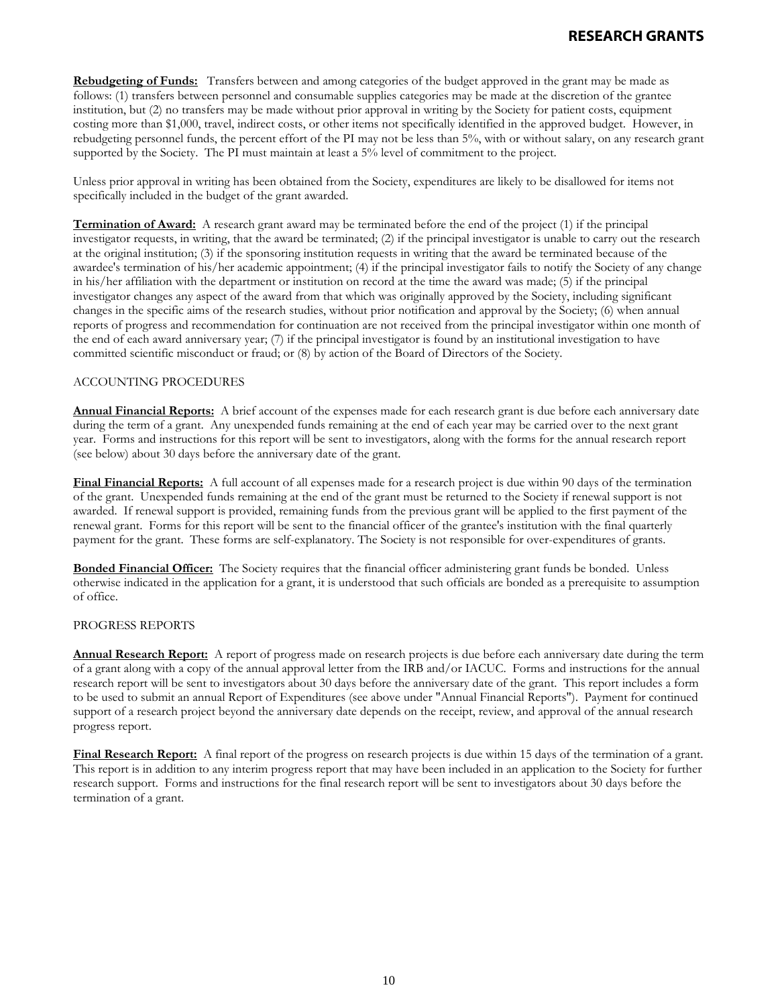**Rebudgeting of Funds:** Transfers between and among categories of the budget approved in the grant may be made as follows: (1) transfers between personnel and consumable supplies categories may be made at the discretion of the grantee institution, but (2) no transfers may be made without prior approval in writing by the Society for patient costs, equipment costing more than \$1,000, travel, indirect costs, or other items not specifically identified in the approved budget. However, in rebudgeting personnel funds, the percent effort of the PI may not be less than 5%, with or without salary, on any research grant supported by the Society. The PI must maintain at least a 5% level of commitment to the project.

Unless prior approval in writing has been obtained from the Society, expenditures are likely to be disallowed for items not specifically included in the budget of the grant awarded.

**Termination of Award:** A research grant award may be terminated before the end of the project (1) if the principal investigator requests, in writing, that the award be terminated; (2) if the principal investigator is unable to carry out the research at the original institution; (3) if the sponsoring institution requests in writing that the award be terminated because of the awardee's termination of his/her academic appointment; (4) if the principal investigator fails to notify the Society of any change in his/her affiliation with the department or institution on record at the time the award was made; (5) if the principal investigator changes any aspect of the award from that which was originally approved by the Society, including significant changes in the specific aims of the research studies, without prior notification and approval by the Society; (6) when annual reports of progress and recommendation for continuation are not received from the principal investigator within one month of the end of each award anniversary year; (7) if the principal investigator is found by an institutional investigation to have committed scientific misconduct or fraud; or (8) by action of the Board of Directors of the Society.

## ACCOUNTING PROCEDURES

**Annual Financial Reports:** A brief account of the expenses made for each research grant is due before each anniversary date during the term of a grant. Any unexpended funds remaining at the end of each year may be carried over to the next grant year. Forms and instructions for this report will be sent to investigators, along with the forms for the annual research report (see below) about 30 days before the anniversary date of the grant.

**Final Financial Reports:** A full account of all expenses made for a research project is due within 90 days of the termination of the grant. Unexpended funds remaining at the end of the grant must be returned to the Society if renewal support is not awarded. If renewal support is provided, remaining funds from the previous grant will be applied to the first payment of the renewal grant. Forms for this report will be sent to the financial officer of the grantee's institution with the final quarterly payment for the grant. These forms are self-explanatory. The Society is not responsible for over-expenditures of grants.

**Bonded Financial Officer:** The Society requires that the financial officer administering grant funds be bonded. Unless otherwise indicated in the application for a grant, it is understood that such officials are bonded as a prerequisite to assumption of office.

#### PROGRESS REPORTS

**Annual Research Report:** A report of progress made on research projects is due before each anniversary date during the term of a grant along with a copy of the annual approval letter from the IRB and/or IACUC. Forms and instructions for the annual research report will be sent to investigators about 30 days before the anniversary date of the grant. This report includes a form to be used to submit an annual Report of Expenditures (see above under "Annual Financial Reports"). Payment for continued support of a research project beyond the anniversary date depends on the receipt, review, and approval of the annual research progress report.

**Final Research Report:** A final report of the progress on research projects is due within 15 days of the termination of a grant. This report is in addition to any interim progress report that may have been included in an application to the Society for further research support. Forms and instructions for the final research report will be sent to investigators about 30 days before the termination of a grant.